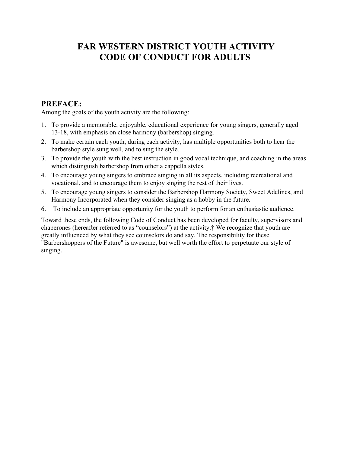## **FAR WESTERN DISTRICT YOUTH ACTIVITY CODE OF CONDUCT FOR ADULTS**

## **PREFACE:**

Among the goals of the youth activity are the following:

- 1. To provide a memorable, enjoyable, educational experience for young singers, generally aged 13-18, with emphasis on close harmony (barbershop) singing.
- 2. To make certain each youth, during each activity, has multiple opportunities both to hear the barbershop style sung well, and to sing the style.
- 3. To provide the youth with the best instruction in good vocal technique, and coaching in the areas which distinguish barbershop from other a cappella styles.
- 4. To encourage young singers to embrace singing in all its aspects, including recreational and vocational, and to encourage them to enjoy singing the rest of their lives.
- 5. To encourage young singers to consider the Barbershop Harmony Society, Sweet Adelines, and Harmony Incorporated when they consider singing as a hobby in the future.
- 6. To include an appropriate opportunity for the youth to perform for an enthusiastic audience.

Toward these ends, the following Code of Conduct has been developed for faculty, supervisors and chaperones (hereafter referred to as "counselors") at the activity.† We recognize that youth are greatly influenced by what they see counselors do and say. The responsibility for these "Barbershoppers of the Future" is awesome, but well worth the effort to perpetuate our style of singing.